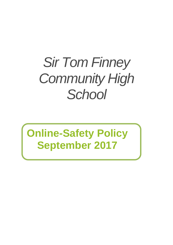# *Sir Tom Finney Community High School*

## **Online-Safety Policy September 2017**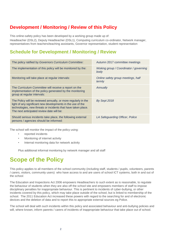## **Development / Monitoring / Review of this Policy**

This online-safety policy has been developed by a working group made up of: Headteacher (DSL2), Deputy Headteacher (DSL1), Computing curriculum co-ordinator, Network manager, representatives from teachers/teaching assistants, Governor representation, student representation

## **Schedule for Development / Monitoring / Review**

| The policy ratified by Governors Curriculum Committee:                                                                                                                                                                                      | Autumn 2017 committee meetings                 |
|---------------------------------------------------------------------------------------------------------------------------------------------------------------------------------------------------------------------------------------------|------------------------------------------------|
| The implementation of this policy will be monitored by the:                                                                                                                                                                                 | Woking group / Coordinator / governing<br>body |
| Monitoring will take place at regular intervals:                                                                                                                                                                                            | Online safety group meetings, half<br>termly   |
| The Curriculum Committee will receive a report on the<br>implementation of the policy generated by the monitoring<br>group at regular intervals:                                                                                            | Annually                                       |
| The Policy will be reviewed annually, or more regularly in the<br>light of any significant new developments in the use of the<br>technologies, new threats or incidents that have taken place.<br>The next anticipated review date will be: | By Sept 2018                                   |
| Should serious incidents take place, the following external<br>persons / agencies should be informed:                                                                                                                                       | LA Safeguarding Officer, Police                |

The school will monitor the impact of the policy using:

- *•* reported incidents
- Monitoring of internet activity
- Internal monitoring data for network activity

Plus additional informal monitoring by network manager and all staff

## **Scope of the Policy**

This policy applies to all members of the *school* community (including staff, students / pupils, volunteers, parents / carers, visitors, community users) who have access to and are users of school ICT systems, both in and out of the *school.*

The Education and Inspections Act 2006 empowers Headteachers to such extent as is reasonable, to regulate the behaviour of students when they are also off the *school* site and empowers members of staff to impose disciplinary penalties for inappropriate behaviour. This is pertinent to incidents of cyber-bullying, or other incidents covered by this policy, which may take place outside of the school, but is linked to membership of the school. The 2011 Education Act increased these powers with regard to the searching for and of electronic devices and the deletion of data and to report this to appropriate external sources eg Police.

The school will deal with such incidents within this policy and associated behaviour and anti-bullying policies and will, where known, inform parents / carers of incidents of inappropriate behaviour that take place out of school.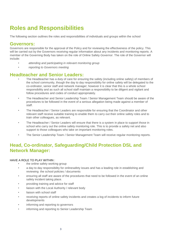## **Roles and Responsibilities**

The following section outlines the roles and responsibilities of individuals and groups within the school

#### **Governors:**

Governors are responsible for the approval of the Policy and for reviewing the effectiveness of the policy. This will be carried out by the Governors receiving regular information about any incidents and monitoring reports. A member of the Governing Body has taken on the role of Online Safety *Governor*. The role of the Governor will include:

- *• attending and participating in relevant monitoring group*
- *• reporting to Governors meeting*

#### **Headteacher and Senior Leaders:**

- The Headteacher has a duty of care for ensuring the safety (including online safety) of members of the school community, though the day to day responsibility for online safety will be delegated to the co-ordinator, senior staff and network manager; however it is clear that this is a whole school responsibility and as such all school staff maintain a responsibility to be diligent and vigilant and follow procedures and codes of conduct appropriately.
- The Headteacher and Senior Leadership Team / Senior Management Team should be aware of the procedures to be followed in the event of a serious allegation being made against a member of staff.
- *•* The Headteacher / Senior Leaders are responsible for ensuring that the Coordinator and other relevant staff receive suitable training to enable them to carry out their online safety roles and to train other colleagues, as relevant.
- *•* The Headteacher / Senior Leaders will ensure that there is a system in place to support those in school who carry out the online safety monitoring role. This is to provide a safety net and also support to those colleagues who take on important monitoring roles.
- *•* The Senior Leadership Team / Senior Management Team will receive regular monitoring reports.

#### **Head, Co-ordinator, Safeguarding/Child Protection DSL and Network Manager:**

#### HAVE A ROLE TO PLAY WITHIN :

- the online safety working group
- a day to day responsibility for onlinesafety issues and has a leading role in establishing and reviewing the school policies / documents
- ensuring all staff are aware of the procedures that need to be followed in the event of an online safety incident taking place.
- providing training and advice for staff
- liaison with the Local Authority / relevant body
- liaison with school staff
- receiving reports of online safety incidents and creates a log of incidents to inform future developments
- informing and reporting to governors
- informing and reporting to Senior Leadership Team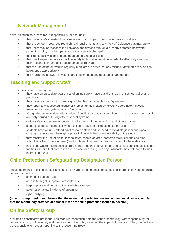#### **Network Management:**

have, as much as is possible, a responsibility for ensuring:

- that the school's infrastructure is secure and is not open to misuse or malicious attack
- that the school meets required technical requirements and any Policy / Guidance that may apply.
- that users may only access the networks and devices through a properly enforced password protection policy, in which passwords are regularly changed
- *•* the filtering policy is applied and updated on a regular basis
- that they keep up to date with online safety technical information in order to effectively carry out their role and to inform and update others as relevant
- that the use of the *network* is regularly monitored in order that any misuse / attempted misuse can be reported appropriately
- *•* that monitoring software / systems are implemented and updated as appropriate

#### **Teaching and Support Staff**

are responsible for ensuring that:

- **•** they have an up to date awareness of online safety matters and of the current school policy and practices
- they have read, understood and signed the Staff Acceptable Use Agreement
- they report any suspected misuse or problem to the Headteacher/DSP/Coordinator/network manager for investigation / action / sanction
- all digital communications with students / pupils / parents / carers should be on a professional level and only carried out using official school systems
- online safety issues are embedded in all aspects of the curriculum and other activities
- students understand and follow the online safety and acceptable use policies
- students have an understanding of research skills and the need to avoid plagiarism and uphold copyright regulations where appropriate in line with the cognitively ability of the student
- they monitor the use of digital technologies, mobile devices, cameras etc in lessons and other school activities (where allowed) and implement current policies with regard to these devices
- *•* in lessons where internet use is pre-planned students should be guided to sites checked as suitable for their use and that processes are in place for dealing with any unsuitable material that is found in internet searches

#### **Child Protection / Safeguarding Designated Person**

should be trained in online safety issues and be aware of the potential for serious child protection / safeguarding issues to arise from:

- sharing of personal data
- access to illegal / inappropriate materials
- inappropriate on-line contact with adults / strangers
- potential or actual incidents of grooming
- cyber-bullying

#### **(note: it is important to emphasise that these are child protection issues, not technical issues, simply that the technology provides additional means for child protection issues to develop.)**

#### **Online Safety Group**

provides a consultative group that has wide representation from the school community, with responsibility for issues regarding online safety and the monitoring the policy including the impact of initiatives. The group will also be responsible for regular reporting to the Governing Body*.*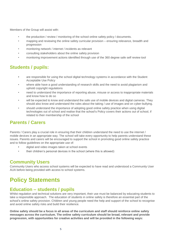Members of the Group will assist with:

- the production / review / monitoring of the school online safety policy / documents.
- *•* mapping and reviewing the online safety curricular provision ensuring relevance, breadth and progression
- *•* monitoring network / internet / incidents as relevant
- *•* consulting stakeholders about the online safety provision
- *•* monitoring improvement actions identified through use of the 360 degree safe self review tool

#### **Students / pupils:**

- **•** are responsible for using the school digital technology systems in accordance with the Student Acceptable Use Policy
- where able have a good understanding of research skills and the need to avoid plagiarism and uphold copyright regulations
- need to understand the importance of reporting abuse, misuse or access to inappropriate materials and know how to do so
- will be expected to know and understand the safe use of mobile devices and digital cameras. They should also know and understand the rules about the taking / use of images and on cyber-bullying.
- should understand the importance of adopting good online safety practice when using digital technologies out of school and realise that the school's Policy covers their actions out of school, if related to their membership of the school

#### **Parents / Carers**

Parents / Carers play a crucial role in ensuring that their children understand the need to use the internet / mobile devices in an appropriate way. The school will take every opportunity to help parents understand these issues. Parents and carers will be encouraged to support the school in promoting good online safety practice and to follow guidelines on the appropriate use of:

- **•** digital and video images taken at school events
- their children's personal devices in the school (where this is allowed)

#### **Community Users**

Community Users who access school systems will be expected to have read and understood a Community User AUA before being provided with access to school systems.

## **Policy Statements**

#### **Education – students / pupils**

Whilst regulation and technical solutions are very important, their use must be balanced by educating students to take a responsible approach. The education of students in online safety is therefore an essential part of the school's online safety provision. Children and young people need the help and support of the school to recognise and avoid online safety risks and build their resilience.

**Online safety should be a focus in all areas of the curriculum and staff should reinforce online safety messages across the curriculum. The online safety curriculum should be broad, relevant and provide progression, with opportunities for creative activities and will be provided in the following ways:**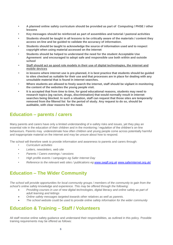- **• A planned online safety curriculum should be provided as part of Computing / PHSE / other lessons**
- **• Key messages should be reinforced as part of assemblies and tutorial / pastoral activities**
- **• Students should be taught in all lessons to be critically aware of the materials / content they access on-line and be guided to validate the accuracy of information.**
- **• Students should be taught to acknowledge the source of information used and to respect copyright when using material accessed on the internet**
- *•* **Students should be helped to understand the need for the student Acceptable Use Agreement and encouraged to adopt safe and responsible use both within and outside school**
- *•* **Staff should act as good role models in their use of digital technologies, the internet and mobile devices**
- *•* **in lessons where internet use is pre-planned, it is best practice that students should be guided to sites checked as suitable for their use and that processes are in place for dealing with any unsuitable material that is found in internet searches.**
- **Where students are allowed to freely search the internet, staff should be vigilant in monitoring the content of the websites the young people visit.**
- **• It is accepted that from time to time, for good educational reasons, students may need to research topics (eg racism, drugs, discrimination) that would normally result in internet searches being blocked. In such a situation, staff can request that those sites are temporarily removed from the filtered list for the period of study. Any request to do so, should be auditable, with clear reasons for the need.**

#### **Education – parents / carers**

Many parents and carers have only a limited understanding of e-safety risks and issues, yet they play an essential role in the education of their children and in the monitoring / regulation of the children's on-line behaviours. Parents may underestimate how often children and young people come across potentially harmful and inappropriate material on the internet and may be unsure about how to respond.

The school will therefore seek to provide information and awareness to parents and carers through:

- *• Curriculum activities*
- *• Letters, newsletters, web site*
- *• Parents / Carers evenings / sessions*
- *• High profile events / campaigns eg Safer Internet Day*
- *• Reference to the relevant web sites / publications eg [www.swgfl.org.uk](http://www.swgfl.org.uk/)* [www.saferinternet.org.uk/](http://www.saferinternet.org.uk/)

#### **Education – The Wider Community**

*The school will provide opportunities for local community groups / members of the community to gain from the school's online safety knowledge and experience. This may be offered through the following:*

- *Providing courses in use of new digital technologies, digital literacy and online safety as part of adult learning and lettings*
- *Online safety messages targeted towards other relatives as well as parents.*
- *The school website could be used to provide online safety information for the wider community*

#### **Education & Training – Staff / Volunteers**

All staff receive online safety guidance and understand their responsibilities, as outlined in this policy. Possible training requirements may be offered as follows: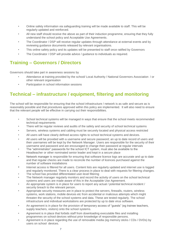- Online safety information via safeguarding training will be made available to staff. This will be regularly updated and reinforced.
- All new staff should receive the above as part of their induction programme, ensuring that they fully understand the school policy and Acceptable Use Agreements.
- *•* The Coordinator / DSP will receive regular updates through attendance at external events and by reviewing guidance documents released by relevant organisations.
- This online safety policy and its updates will be presented to staff once ratified by Governors
- The Coordinator / DSP will provide advice / guidance to individuals as required.

#### **Training – Governors / Directors**

Governors should take part in awareness sessions by

- Attendance at training provided by the school/ Local Authority / National Governors Association / or other relevant organisation
- Participation in school information sessions

### **Technical – infrastructure / equipment, filtering and monitoring**

The school will be responsible for ensuring that the school infrastructure / network is as safe and secure as is reasonably possible and that procedures approved within this policy are implemented. It will also need to ensure that the relevant people will be effective in carrying out their responsibilities.

- School technical systems will be managed in ways that ensure that the school meets recommended technical requirements
- There will be regular reviews and audits of the safety and security of school technical systems
- Servers, wireless systems and cabling must be securely located and physical access restricted
- All users will have clearly defined access rights to school technical systems and devices.
- All users will be provided with a username and secure password; an up to date record of users and their usernames will be kept by the Network Manager. Users are responsible for the security of their username and password and are encouraged to change their password at regular intervals
- The "administrator" passwords for the school ICT system, must also be available to the Headteacher or other nominated senior leader and kept in a secure place
- *•* Network manager is responsible for ensuring that software licence logs are accurate and up to date and that regular checks are made to reconcile the number of licences purchased against the number of software installations
- *•* Internet access is filtered for all users. Content lists are regularly updated and internet use is logged and regularly monitored. There is a clear process in place to deal with requests for filtering changes.
- The school has provided differentiated user-level filtering
- *•* The Network manager regularly monitors and record the activity of users on the school technical systems and users are made aware of this in the Acceptable Use Agreement.
- *•* An appropriate system is in place for users to report any actual / potential technical incident / security breach to the relevant person.
- Appropriate security measures are in place to protect the servers, firewalls, routers, wireless systems, work stations, mobile devices etc from accidental or malicious attempts which might threaten the security of the school systems and data. These are tested regularly. The school infrastructure and individual workstations are protected by up to date virus software.
- An agreement is in place for the provision of temporary access of "guests" (eg trainee teachers, supply teachers, visitors) onto the school systems.
- *•* Agreement is in place that forbids staff from downloading executable files and installing programmes on school devices without prior knowledge of responsible persons.
- *•* Agreement is in place regarding the use of removable media (eg memory sticks / CDs / DVDs) by users on school devices.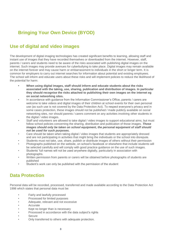## **Bringing Your Own Device (BYOD)**

#### **Use of digital and video images**

The development of digital imaging technologies has created significant benefits to learning, allowing staff and instant use of images that they have recorded themselves or downloaded from the internet. However, staff, parents / carers and students need to be aware of the risks associated with publishing digital images on the internet. Such images may provide avenues for cyberbullying to take place. Digital images may remain available on the internet forever and may cause harm or embarrassment to individuals in the short or longer term. It is common for employers to carry out internet searches for information about potential and existing employees. The school will inform and educate users about these risks and will implement policies to reduce the likelihood of the potential for harm:

- **• When using digital images, staff should inform and educate students about the risks associated with the taking, use, sharing, publication and distribution of images. In particular they should recognise the risks attached to publishing their own images on the internet eg on social networking sites.**
- In accordance with guidance from the Information Commissioner's Office, parents / carers are welcome to take videos and digital images of their children at school events for their own personal use (as such use is not covered by the Data Protection Act). To respect everyone's privacy and in some cases protection, these images should not be published / made publicly available on social networking sites, nor should parents / carers comment on any activities involving other students in the digital / video images.
- Staff and volunteers are allowed to take digital / video images to support educational aims, but must follow school policies concerning the sharing, distribution and publication of those images. *Those images should only be taken on school equipment, the personal equipment of staff should not be used for such purposes.*
- Care should be taken when taking digital / video images that students are appropriately dressed and are not participating in activities that might bring the individuals or the school into disrepute.
- Students must not take, use, share, publish or distribute images of others without their permission
- Photographs published on the website, on school's facebook or elsewhere that include students will be selected carefully and will comply with good practice guidance on the use of such images.
- Students' full names will not be used anywhere digitally, particularly in association with photographs.
- Written permission from parents or carers will be obtained before photographs of students are published
- Student's work can only be published with the permission of the student

#### **Data Protection**

Personal data will be recorded, processed, transferred and made available according to the Data Protection Act 1998 which states that personal data must be:

- Fairly and lawfully processed
- Processed for limited purposes
- Adequate, relevant and not excessive
- **Accurate**
- Kept no longer than is necessary
- Processed in accordance with the data subject's rights
- Secure
- Only transferred to others with adequate protection.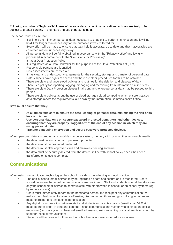#### Following a number of "high profile" losses of personal data by public organisations, schools are likely to be subject to greater scrutiny in their care and use of personal data.

The school must ensure that:

- It will hold the minimum personal data necessary to enable it to perform its function and it will not hold it for longer than necessary for the purposes it was collected for.
- Every effort will be made to ensure that data held is accurate, up to date and that inaccuracies are corrected without unnecessary delay.
- All personal data will be fairly obtained in accordance with the "Privacy Notice" and lawfully processed in accordance with the "Conditions for Processing".
- It has a Data Protection Policy
- It is registered as a Data Controller for the purposes of the Data Protection Act (DPA)
- Responsible persons are identified
- Risk assessments are carried out
- It has clear and understood arrangements for the security, storage and transfer of personal data
- Data subjects have rights of access and there are clear procedures for this to be obtained
- There are clear and understood policies and routines for the deletion and disposal of data
- There is a policy for reporting, logging, managing and recovering from information risk incidents
- There are clear Data Protection clauses in all contracts where personal data may be passed to third parties
- There are clear policies about the use of cloud storage / cloud computing which ensure that such data storage meets the requirements laid down by the Information Commissioner's Office.

#### **Staff must ensure that they:**

- **• At all times take care to ensure the safe keeping of personal data, minimising the risk of its loss or misuse.**
- **• Use personal data only on secure password protected computers and other devices, ensuring that they are properly "logged-off" at the end of any session in which they are using personal data.**
- **• Transfer data using encryption and secure password protected devices.**

When personal data is stored on any portable computer system, memory stick or any other removable media:

- **•** the data must be encrypted and password protected
- **•** the device must be password protected
- **•** the device must offer approved virus and malware checking software
- **•** the data must be securely deleted from the device, in line with school policy once it has been transferred or its use is complete

#### **Communications**

When using communication technologies the school considers the following as good practice:

- **•** The official school email service may be regarded as safe and secure and is monitored. Users should be aware that email communications are monitored. Staff and students should therefore use only the school email service to communicate with others when in school, or on school systems (eg by remote access).
- Users must immediately report, to the nominated person, the receipt of any communication that makes them feel uncomfortable, is offensive, discriminatory, threatening or bullying in nature and must not respond to any such communication.
- Any digital communication between staff and students or parents / carers (email, chat, VLE etc) must be professional in tone and content. These communications may only take place on official (monitored) school systems. Personal email addresses, text messaging or social media must not be used for these communications.
- *•* Students will be provided with individual school email addresses for educational use.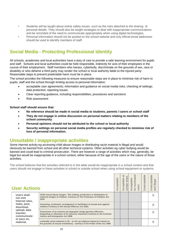- *•* Students will be taught about online safety issues, such as the risks attached to the sharing of personal details. They should also be taught strategies to deal with inappropriate communications and be reminded of the need to communicate appropriately when using digital technologies.
- Personal information should not be posted on the school website and only official email addresses should be used to identify members of staff.

#### **Social Media - Protecting Professional Identity**

All schools, academies and local authorities have a duty of care to provide a safe learning environment for pupils and staff. Schools and local authorities could be held responsible, indirectly for acts of their employees in the course of their employment. Staff members who harass, cyberbully, discriminate on the grounds of sex, race or disability or who defame a third party may render the *school* or local authority liable to the injured party. Reasonable steps to prevent predictable harm must be in place.

The school provides the following measures to ensure reasonable steps are in place to minimise risk of harm to pupils, staff and the school through limiting access to personal information:

- acceptable user agreements; information and guidance on social media risks; checking of settings; data protection; reporting issues.
- Clear reporting guidance, including responsibilities, procedures and sanctions
- Risk assessment

**School staff should ensure that:**

- **No reference should be made in social media to students, parents / carers or school staff**
- **They do not engage in online discussion on personal matters relating to members of the school community**
- **Personal opinions should not be attributed to the school or local authority**
- **Security settings on personal social media profiles are regularly checked to minimise risk of loss of personal information.**

#### **Unsuitable / inappropriate activities**

Some internet activity eg accessing child abuse images or distributing racist material is illegal and would obviously be banned from school and all other technical systems. Other activities eg cyber-bullying would be banned and could lead to criminal prosecution. There are however a range of activities which may, generally, be legal but would be inappropriate in a school context, either because of the age of the users or the nature of those activities.

The school believes that the activities referred to in the table would be inappropriate in a school context and that users should not engage in these activities in school or outside school when using school equipment or systems.

| <b>User Actions</b>                                                                                                                                     |                                                                                                                                                                                  | Acceptable | ಸ<br>certain times<br>Acceptable | for nominated<br>Acceptable<br>users | <b>Jnacceptable</b> | Unacceptable<br>illegal<br>and |
|---------------------------------------------------------------------------------------------------------------------------------------------------------|----------------------------------------------------------------------------------------------------------------------------------------------------------------------------------|------------|----------------------------------|--------------------------------------|---------------------|--------------------------------|
| Users shall<br>not visit<br>1978<br>Internet sites,<br>make, post,<br>download.<br>upload, data<br>transfer,<br>communicate<br>or pass on,<br>material, | Child sexual abuse images - The making, production or distribution of<br>indecent images of children. Contrary to The Protection of Children Act                                 |            |                                  |                                      |                     |                                |
|                                                                                                                                                         | Grooming, incitement, arrangement or facilitation of sexual acts against<br>children Contrary to the Sexual Offences Act 2003.                                                   |            |                                  |                                      |                     |                                |
|                                                                                                                                                         | Possession of an extreme pornographic image (grossly offensive,<br>disqusting or otherwise of an obscene character) Contrary to the Criminal<br>Justice and Immigration Act 2008 |            |                                  |                                      |                     |                                |
|                                                                                                                                                         | criminally racist material in UK - to stir up religious hatred (or hatred on<br>the grounds of sexual orientation) - contrary to the Public Order Act 1986                       |            |                                  |                                      |                     |                                |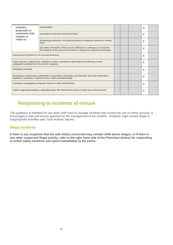| remarks,<br>proposals or                                                                                                                                            | pornography                                                                                                                                            |   | X |  |
|---------------------------------------------------------------------------------------------------------------------------------------------------------------------|--------------------------------------------------------------------------------------------------------------------------------------------------------|---|---|--|
| comments that<br>contain or                                                                                                                                         | promotion of any kind of discrimination                                                                                                                |   | X |  |
| relate to:                                                                                                                                                          | threatening behaviour, including promotion of physical violence or mental<br>harm                                                                      |   | X |  |
|                                                                                                                                                                     | any other information which may be offensive to colleagues or breaches<br>the integrity of the ethos of the school or brings the school into disrepute |   | X |  |
| Using school systems to run a private business                                                                                                                      |                                                                                                                                                        |   | X |  |
| Using systems, applications, websites or other mechanisms that bypass the filtering or other<br>safeguards employed by the school / academy                         |                                                                                                                                                        |   | X |  |
| Infringing copyright                                                                                                                                                |                                                                                                                                                        |   | X |  |
| Revealing or publicising confidential or proprietary information (eg financial / personal information,<br>databases, computer / network access codes and passwords) |                                                                                                                                                        |   | X |  |
| Creating or propagating computer viruses or other harmful files                                                                                                     |                                                                                                                                                        |   | Χ |  |
| Unfair usage (downloading / uploading large files that hinders others in their use of the internet)                                                                 |                                                                                                                                                        | X |   |  |

#### **Responding to incidents of misuse**

This guidance is intended for use when staff need to manage incidents that involve the use of online services. It encourages a safe and secure approach to the management of the incident. Incidents might involve illegal or inappropriate activities (see "User Actions" above).

#### **Illegal Incidents**

**If there is any suspicion that the web site(s) concerned may contain child abuse images, or if there is any other suspected illegal activity, refer to the right hand side of the Flowchart (below) for responding to online safety incidents and report immediately to the police.**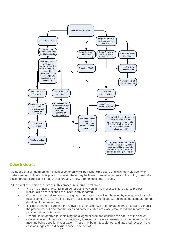

#### **Other Incidents**

It is hoped that all members of the school community will be responsible users of digital technologies, who understand and follow school policy. However, there may be times when infringements of the policy could take place, through careless or irresponsible or, very rarely, through deliberate misuse.

In the event of suspicion, all steps in this procedure should be followed:

- Have more than one senior member of staff involved in this process. This is vital to protect individuals if accusations are subsequently reported.
- Conduct the procedure using a designated computer that will not be used by young people and if necessary can be taken off site by the police should the need arise. Use the same computer for the duration of the procedure.
- It is important to ensure that the relevant staff should have appropriate internet access to conduct the procedure, but also that the sites and content visited are closely monitored and recorded (to provide further protection).
- Record the url of any site containing the alleged misuse and describe the nature of the content causing concern. It may also be necessary to record and store screenshots of the content on the machine being used for investigation. These may be printed, signed and attached (except in the case of images of child sexual abuse – see below)